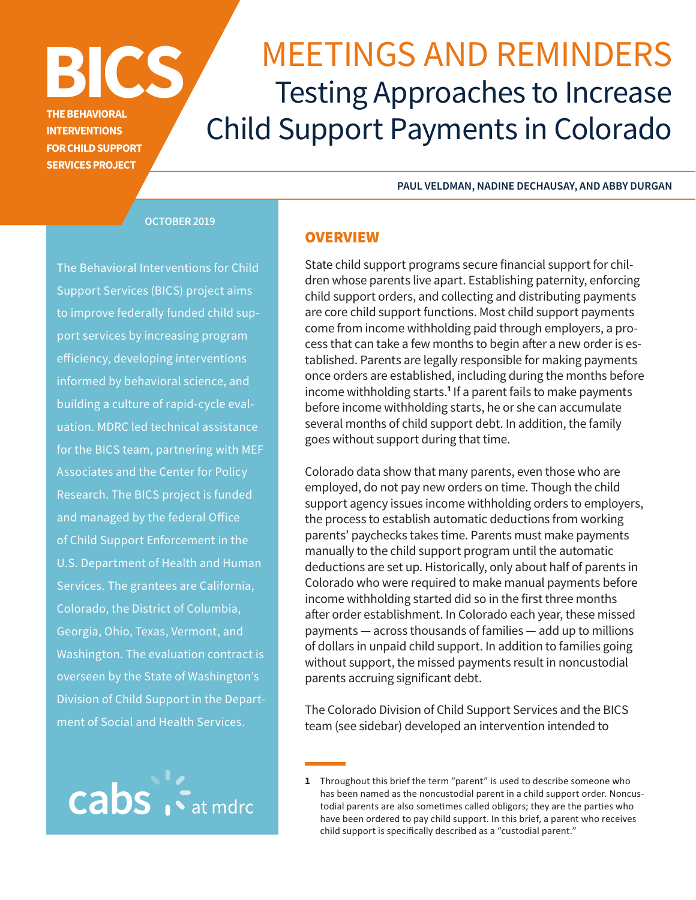# MEETINGS AND REMINDERS Testing Approaches to Increase Child Support Payments in Colorado

**PAUL VELDMAN, NADINE DECHAUSAY, AND ABBY DURGAN** 

#### **OCTOBER 2019**

**BICS** 

**THE BEHAVIORAL INTERVENTIONS FOR CHILD SUPPORT SERVICES PROJECT** 

The Behavioral Interventions for Child Support Services (BICS) project aims to improve federally funded child support services by increasing program eficiency, developing interventions informed by behavioral science, and building a culture of rapid-cycle evaluation. MDRC led technical assistance for the BICS team, partnering with MEF Associates and the Center for Policy Research. The BICS project is funded and managed by the federal Ofice of Child Support Enforcement in the U.S. Department of Health and Human Services. The grantees are California, Colorado, the District of Columbia, Georgia, Ohio, Texas, Vermont, and Washington. The evaluation contract is overseen by the State of Washington's Division of Child Support in the Department of Social and Health Services.



#### **OVERVIEW**

State child support programs secure financial support for children whose parents live apart. Establishing paternity, enforcing child support orders, and collecting and distributing payments are core child support functions. Most child support payments come from income withholding paid through employers, a process that can take a few months to begin after a new order is established. Parents are legally responsible for making payments once orders are established, including during the months before income withholding starts.**<sup>1</sup>** If a parent fails to make payments before income withholding starts, he or she can accumulate several months of child support debt. In addition, the family goes without support during that time.

Colorado data show that many parents, even those who are employed, do not pay new orders on time. Though the child support agency issues income withholding orders to employers, the process to establish automatic deductions from working parents' paychecks takes time. Parents must make payments manually to the child support program until the automatic deductions are set up. Historically, only about half of parents in Colorado who were required to make manual payments before income withholding started did so in the first three months after order establishment. In Colorado each year, these missed payments — across thousands of families — add up to millions of dollars in unpaid child support. In addition to families going without support, the missed payments result in noncustodial parents accruing significant debt.

The Colorado Division of Child Support Services and the BICS team (see sidebar) developed an intervention intended to

**<sup>1</sup>** Throughout this brief the term "parent" is used to describe someone who has been named as the noncustodial parent in a child support order. Noncustodial parents are also sometimes called obligors; they are the parties who have been ordered to pay child support. In this brief, a parent who receives child support is specifically described as a "custodial parent."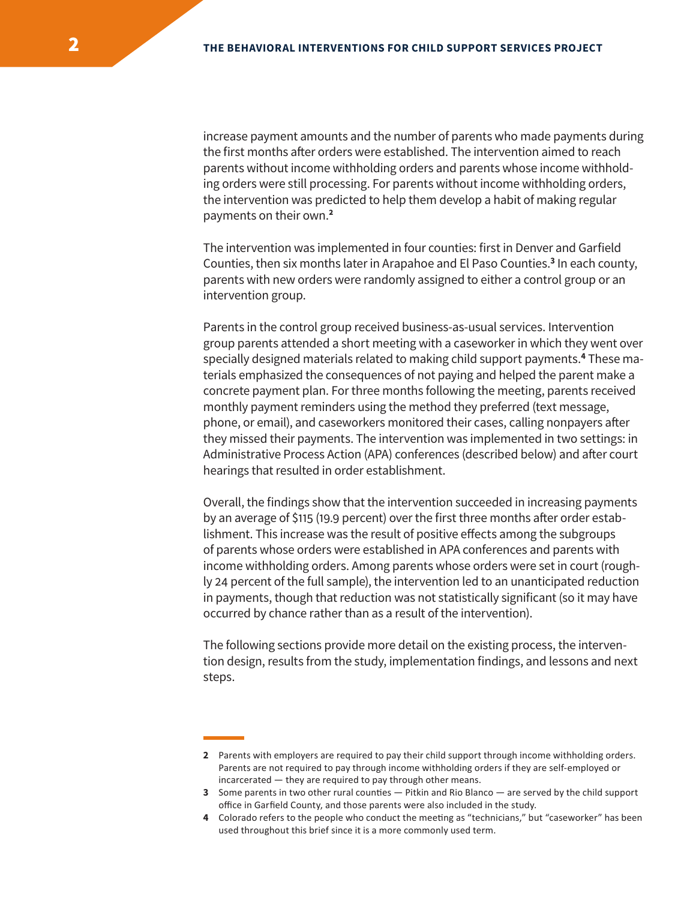increase payment amounts and the number of parents who made payments during the first months afer orders were established. The intervention aimed to reach parents without income withholding orders and parents whose income withholding orders were still processing. For parents without income withholding orders, the intervention was predicted to help them develop a habit of making regular payments on their own.**<sup>2</sup>**

The intervention was implemented in four counties: first in Denver and Garfield Counties, then six months later in Arapahoe and El Paso Counties.**<sup>3</sup>** In each county, parents with new orders were randomly assigned to either a control group or an intervention group.

Parents in the control group received business-as-usual services. Intervention group parents attended a short meeting with a caseworker in which they went over specially designed materials related to making child support payments.**<sup>4</sup>** These materials emphasized the consequences of not paying and helped the parent make a concrete payment plan. For three months following the meeting, parents received monthly payment reminders using the method they preferred (text message, phone, or email), and caseworkers monitored their cases, calling nonpayers afer they missed their payments. The intervention was implemented in two settings: in Administrative Process Action (APA) conferences (described below) and afer court hearings that resulted in order establishment.

Overall, the findings show that the intervention succeeded in increasing payments by an average of \$115 (19.9 percent) over the first three months after order establishment. This increase was the result of positive efects among the subgroups of parents whose orders were established in APA conferences and parents with income withholding orders. Among parents whose orders were set in court (roughly 24 percent of the full sample), the intervention led to an unanticipated reduction in payments, though that reduction was not statistically significant (so it may have occurred by chance rather than as a result of the intervention).

The following sections provide more detail on the existing process, the intervention design, results from the study, implementation findings, and lessons and next steps.

**<sup>2</sup>** Parents with employers are required to pay their child support through income withholding orders. Parents are not required to pay through income withholding orders if they are self-employed or incarcerated — they are required to pay through other means.

**<sup>3</sup>** Some parents in two other rural counties — Pitkin and Rio Blanco — are served by the child support office in Garfield County, and those parents were also included in the study.

**<sup>4</sup>** Colorado refers to the people who conduct the meeting as "technicians," but "caseworker" has been used throughout this brief since it is a more commonly used term.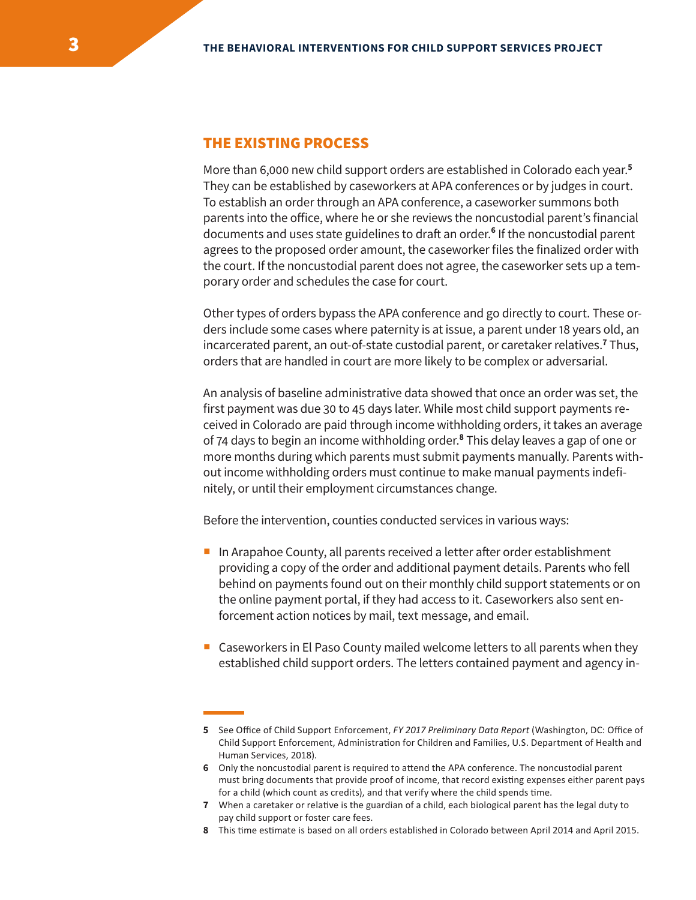## THE EXISTING PROCESS

More than 6,000 new child support orders are established in Colorado each year.**<sup>5</sup>** They can be established by caseworkers at APA conferences or by judges in court. To establish an order through an APA conference, a caseworker summons both parents into the ofice, where he or she reviews the noncustodial parent's financial documents and uses state guidelines to draft an order.<sup>6</sup> If the noncustodial parent agrees to the proposed order amount, the caseworker files the finalized order with the court. If the noncustodial parent does not agree, the caseworker sets up a temporary order and schedules the case for court.

Other types of orders bypass the APA conference and go directly to court. These orders include some cases where paternity is at issue, a parent under 18 years old, an incarcerated parent, an out-of-state custodial parent, or caretaker relatives.**<sup>7</sup>** Thus, orders that are handled in court are more likely to be complex or adversarial.

An analysis of baseline administrative data showed that once an order was set, the first payment was due 30 to 45 days later. While most child support payments received in Colorado are paid through income withholding orders, it takes an average of 74 days to begin an income withholding order.**<sup>8</sup>** This delay leaves a gap of one or more months during which parents must submit payments manually. Parents without income withholding orders must continue to make manual payments indefinitely, or until their employment circumstances change.

Before the intervention, counties conducted services in various ways:

- In Arapahoe County, all parents received a letter after order establishment providing a copy of the order and additional payment details. Parents who fell behind on payments found out on their monthly child support statements or on the online payment portal, if they had access to it. Caseworkers also sent enforcement action notices by mail, text message, and email.
- Caseworkers in El Paso County mailed welcome letters to all parents when they established child support orders. The letters contained payment and agency in-

**<sup>5</sup>** See Office of Child Support Enforcement, *FY 2017 Preliminary Data Report* (Washington, DC: Office of Child Support Enforcement, Administration for Children and Families, U.S. Department of Health and Human Services, 2018).

**<sup>6</sup>** Only the noncustodial parent is required to attend the APA conference. The noncustodial parent must bring documents that provide proof of income, that record existing expenses either parent pays for a child (which count as credits), and that verify where the child spends time.

**<sup>7</sup>** When a caretaker or relative is the guardian of a child, each biological parent has the legal duty to pay child support or foster care fees.

**<sup>8</sup>** This time estimate is based on all orders established in Colorado between April 2014 and April 2015.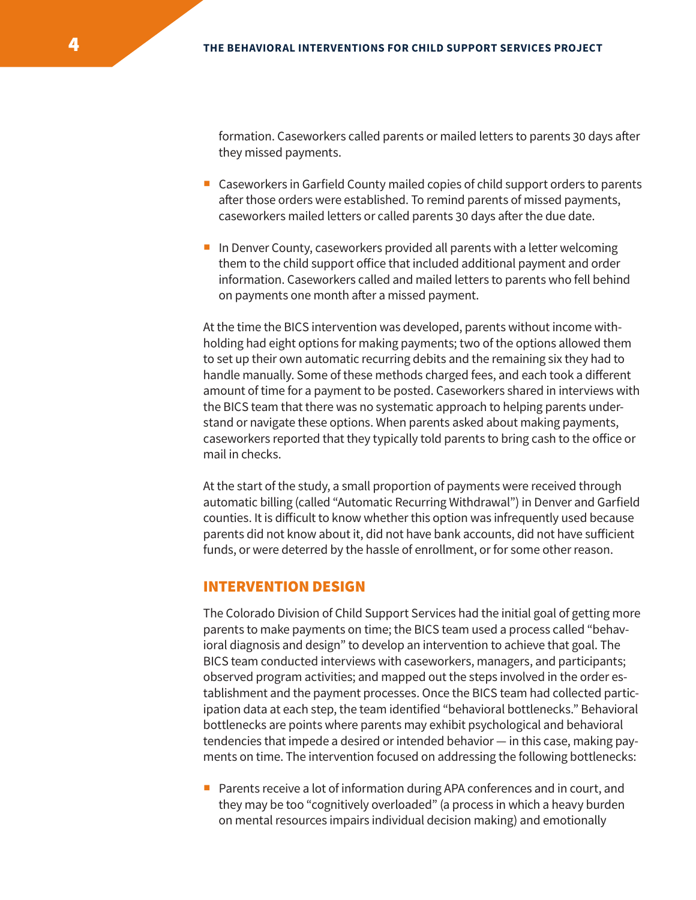formation. Caseworkers called parents or mailed letters to parents 30 days afer they missed payments.

- Caseworkers in Garfield County mailed copies of child support orders to parents afer those orders were established. To remind parents of missed payments, caseworkers mailed letters or called parents 30 days after the due date.
- In Denver County, caseworkers provided all parents with a letter welcoming them to the child support ofice that included additional payment and order information. Caseworkers called and mailed letters to parents who fell behind on payments one month after a missed payment.

At the time the BICS intervention was developed, parents without income withholding had eight options for making payments; two of the options allowed them to set up their own automatic recurring debits and the remaining six they had to handle manually. Some of these methods charged fees, and each took a diferent amount of time for a payment to be posted. Caseworkers shared in interviews with the BICS team that there was no systematic approach to helping parents understand or navigate these options. When parents asked about making payments, caseworkers reported that they typically told parents to bring cash to the ofice or mail in checks.

At the start of the study, a small proportion of payments were received through automatic billing (called "Automatic Recurring Withdrawal") in Denver and Garfield counties. It is dificult to know whether this option was infrequently used because parents did not know about it, did not have bank accounts, did not have suficient funds, or were deterred by the hassle of enrollment, or for some other reason.

#### INTERVENTION DESIGN

The Colorado Division of Child Support Services had the initial goal of getting more parents to make payments on time; the BICS team used a process called "behavioral diagnosis and design" to develop an intervention to achieve that goal. The BICS team conducted interviews with caseworkers, managers, and participants; observed program activities; and mapped out the steps involved in the order establishment and the payment processes. Once the BICS team had collected participation data at each step, the team identified "behavioral bottlenecks." Behavioral bottlenecks are points where parents may exhibit psychological and behavioral tendencies that impede a desired or intended behavior — in this case, making payments on time. The intervention focused on addressing the following bottlenecks:

 Parents receive a lot of information during APA conferences and in court, and they may be too "cognitively overloaded" (a process in which a heavy burden on mental resources impairs individual decision making) and emotionally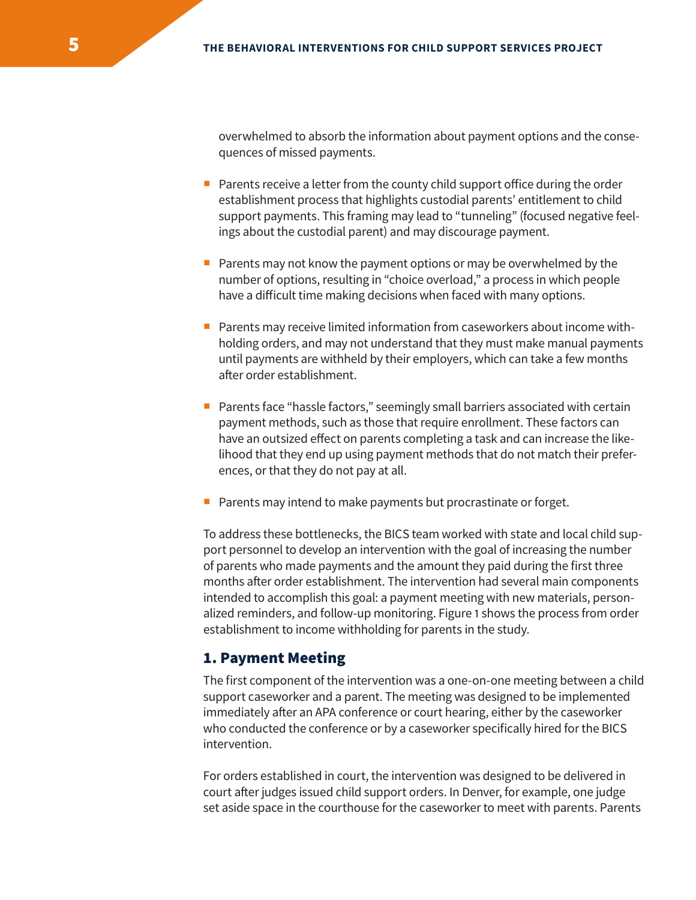overwhelmed to absorb the information about payment options and the consequences of missed payments.

- $\blacksquare$  Parents receive a letter from the county child support office during the order establishment process that highlights custodial parents' entitlement to child support payments. This framing may lead to "tunneling" (focused negative feelings about the custodial parent) and may discourage payment.
- **Parents may not know the payment options or may be overwhelmed by the** number of options, resulting in "choice overload," a process in which people have a dificult time making decisions when faced with many options.
- **Parents may receive limited information from caseworkers about income with**holding orders, and may not understand that they must make manual payments until payments are withheld by their employers, which can take a few months after order establishment.
- **Parents face "hassle factors," seemingly small barriers associated with certain** payment methods, such as those that require enrollment. These factors can have an outsized effect on parents completing a task and can increase the likelihood that they end up using payment methods that do not match their preferences, or that they do not pay at all.
- Parents may intend to make payments but procrastinate or forget.

To address these bottlenecks, the BICS team worked with state and local child support personnel to develop an intervention with the goal of increasing the number of parents who made payments and the amount they paid during the first three months after order establishment. The intervention had several main components intended to accomplish this goal: a payment meeting with new materials, personalized reminders, and follow-up monitoring. Figure 1 shows the process from order establishment to income withholding for parents in the study.

## 1. Payment Meeting

The first component of the intervention was a one-on-one meeting between a child support caseworker and a parent. The meeting was designed to be implemented immediately after an APA conference or court hearing, either by the caseworker who conducted the conference or by a caseworker specifically hired for the BICS intervention.

For orders established in court, the intervention was designed to be delivered in court after judges issued child support orders. In Denver, for example, one judge set aside space in the courthouse for the caseworker to meet with parents. Parents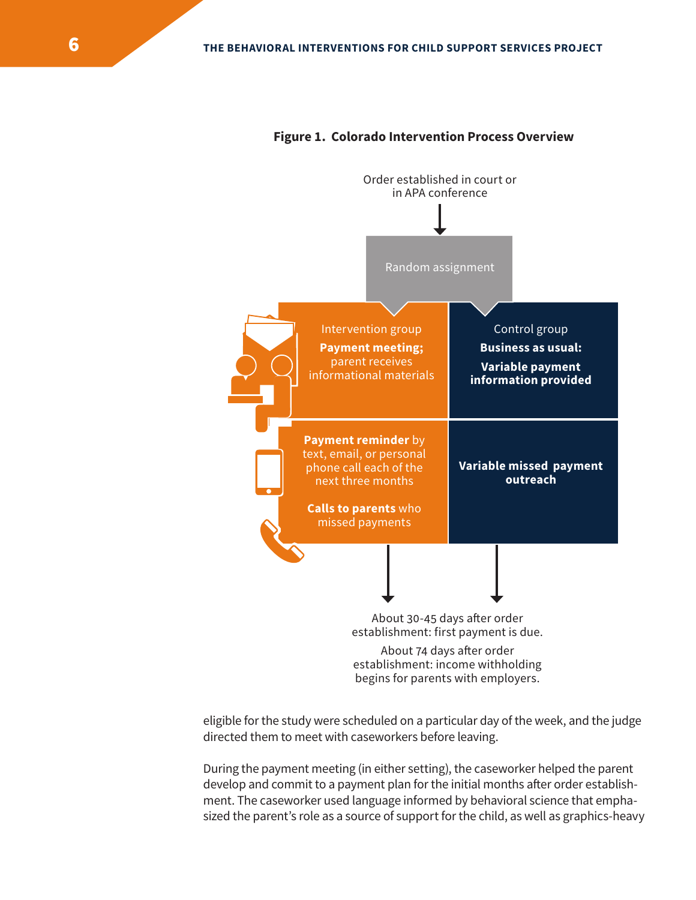

#### **Figure 1. Colorado Intervention Process Overview**

eligible for the study were scheduled on a particular day of the week, and the judge directed them to meet with caseworkers before leaving.

During the payment meeting (in either setting), the caseworker helped the parent develop and commit to a payment plan for the initial months after order establishment. The caseworker used language informed by behavioral science that emphasized the parent's role as a source of support for the child, as well as graphics-heavy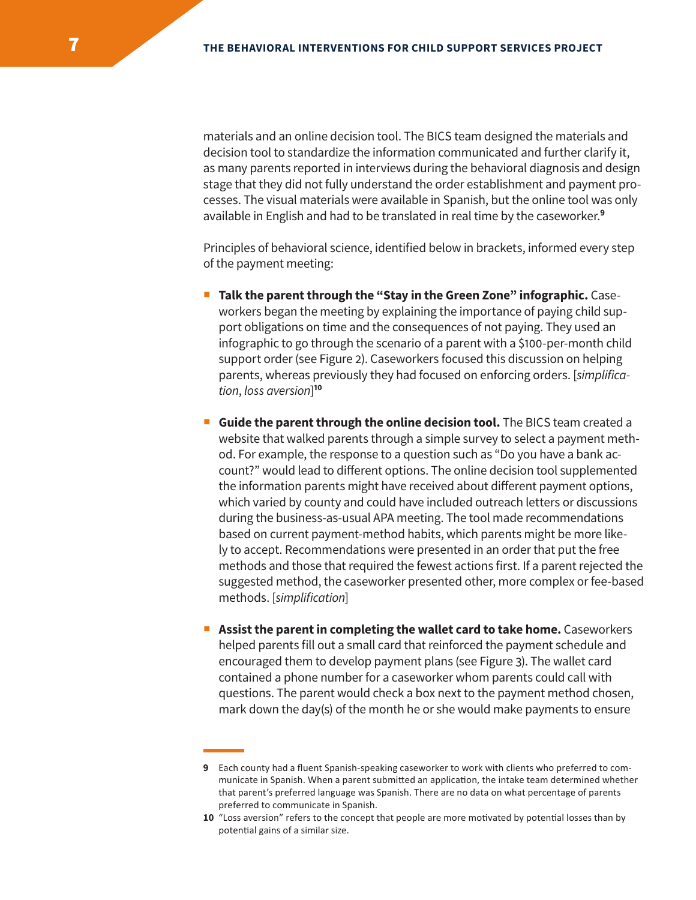materials and an online decision tool. The BICS team designed the materials and decision tool to standardize the information communicated and further clarify it, as many parents reported in interviews during the behavioral diagnosis and design stage that they did not fully understand the order establishment and payment processes. The visual materials were available in Spanish, but the online tool was only available in English and had to be translated in real time by the caseworker.**<sup>9</sup>**

Principles of behavioral science, identified below in brackets, informed every step of the payment meeting:

- **Talk the parent through the "Stay in the Green Zone" infographic.** Caseworkers began the meeting by explaining the importance of paying child support obligations on time and the consequences of not paying. They used an infographic to go through the scenario of a parent with a \$100-per-month child support order (see Figure 2). Caseworkers focused this discussion on helping parents, whereas previously they had focused on enforcing orders. [*simplification*, *loss aversion*] **10**
- **Guide the parent through the online decision tool.** The BICS team created a website that walked parents through a simple survey to select a payment method. For example, the response to a question such as "Do you have a bank account?" would lead to diferent options. The online decision tool supplemented the information parents might have received about diferent payment options, which varied by county and could have included outreach letters or discussions during the business-as-usual APA meeting. The tool made recommendations based on current payment-method habits, which parents might be more likely to accept. Recommendations were presented in an order that put the free methods and those that required the fewest actions first. If a parent rejected the suggested method, the caseworker presented other, more complex or fee-based methods. [*simplification*]
- **Assist the parent in completing the wallet card to take home.** Caseworkers helped parents fill out a small card that reinforced the payment schedule and encouraged them to develop payment plans (see Figure 3). The wallet card contained a phone number for a caseworker whom parents could call with questions. The parent would check a box next to the payment method chosen, mark down the day(s) of the month he or she would make payments to ensure

**<sup>9</sup>** Each county had a fluent Spanish-speaking caseworker to work with clients who preferred to communicate in Spanish. When a parent submitted an application, the intake team determined whether that parent's preferred language was Spanish. There are no data on what percentage of parents preferred to communicate in Spanish.

**<sup>10</sup>** "Loss aversion" refers to the concept that people are more motivated by potential losses than by potential gains of a similar size.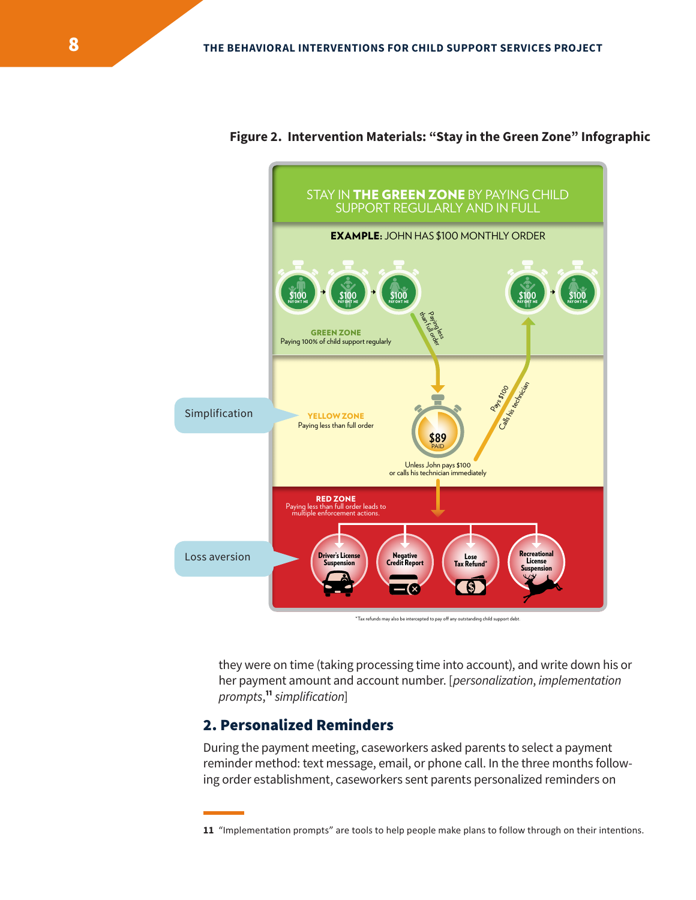

**Figure 2. Intervention Materials: "Stay in the Green Zone" Infographic** 

 $*$ Tax refunds may also be intercepted to pay off any outstanding child support debt

they were on time (taking processing time into account), and write down his or her payment amount and account number. [*personalization*, *implementation prompts*, **<sup>11</sup>***simplification*]

# 2. Personalized Reminders

During the payment meeting, caseworkers asked parents to select a payment reminder method: text message, email, or phone call. In the three months following order establishment, caseworkers sent parents personalized reminders on

**<sup>11</sup>** "Implementation prompts" are tools to help people make plans to follow through on their intentions.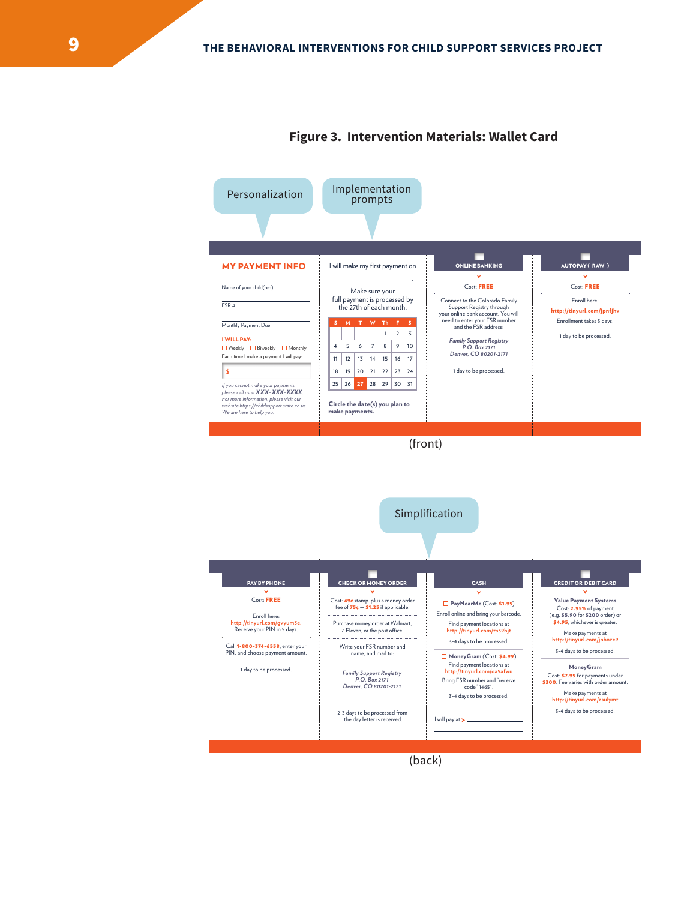

#### **Figure 3. Intervention Materials: Wallet Card**



(back)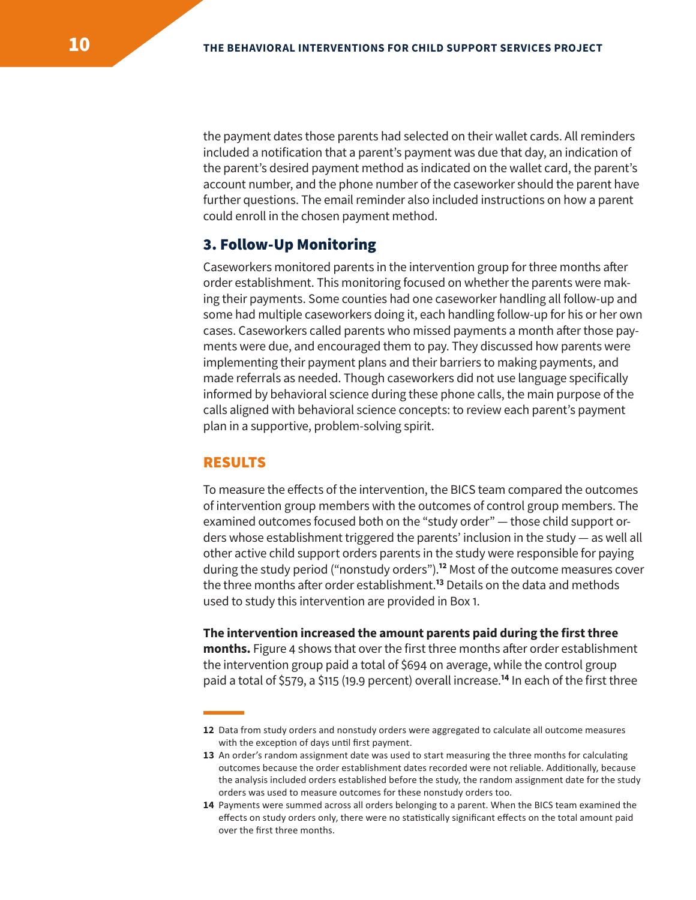the payment dates those parents had selected on their wallet cards. All reminders included a notification that a parent's payment was due that day, an indication of the parent's desired payment method as indicated on the wallet card, the parent's account number, and the phone number of the caseworker should the parent have further questions. The email reminder also included instructions on how a parent could enroll in the chosen payment method.

## 3. Follow-Up Monitoring

Caseworkers monitored parents in the intervention group for three months afer order establishment. This monitoring focused on whether the parents were making their payments. Some counties had one caseworker handling all follow-up and some had multiple caseworkers doing it, each handling follow-up for his or her own cases. Caseworkers called parents who missed payments a month after those payments were due, and encouraged them to pay. They discussed how parents were implementing their payment plans and their barriers to making payments, and made referrals as needed. Though caseworkers did not use language specifically informed by behavioral science during these phone calls, the main purpose of the calls aligned with behavioral science concepts: to review each parent's payment plan in a supportive, problem-solving spirit.

#### RESULTS

To measure the efects of the intervention, the BICS team compared the outcomes of intervention group members with the outcomes of control group members. The examined outcomes focused both on the "study order" — those child support orders whose establishment triggered the parents' inclusion in the study — as well all other active child support orders parents in the study were responsible for paying during the study period ("nonstudy orders").**<sup>12</sup>** Most of the outcome measures cover the three months after order establishment.<sup>13</sup> Details on the data and methods used to study this intervention are provided in Box 1.

#### **The intervention increased the amount parents paid during the first three**

**months.** Figure 4 shows that over the first three months afer order establishment the intervention group paid a total of \$694 on average, while the control group paid a total of \$579, a \$115 (19.9 percent) overall increase.**<sup>14</sup>** In each of the first three

**<sup>12</sup>** Data from study orders and nonstudy orders were aggregated to calculate all outcome measures with the exception of days until first payment.

**<sup>13</sup>** An order's random assignment date was used to start measuring the three months for calculating outcomes because the order establishment dates recorded were not reliable. Additionally, because the analysis included orders established before the study, the random assignment date for the study orders was used to measure outcomes for these nonstudy orders too.

**<sup>14</sup>** Payments were summed across all orders belonging to a parent. When the BICS team examined the effects on study orders only, there were no statistically significant effects on the total amount paid over the first three months.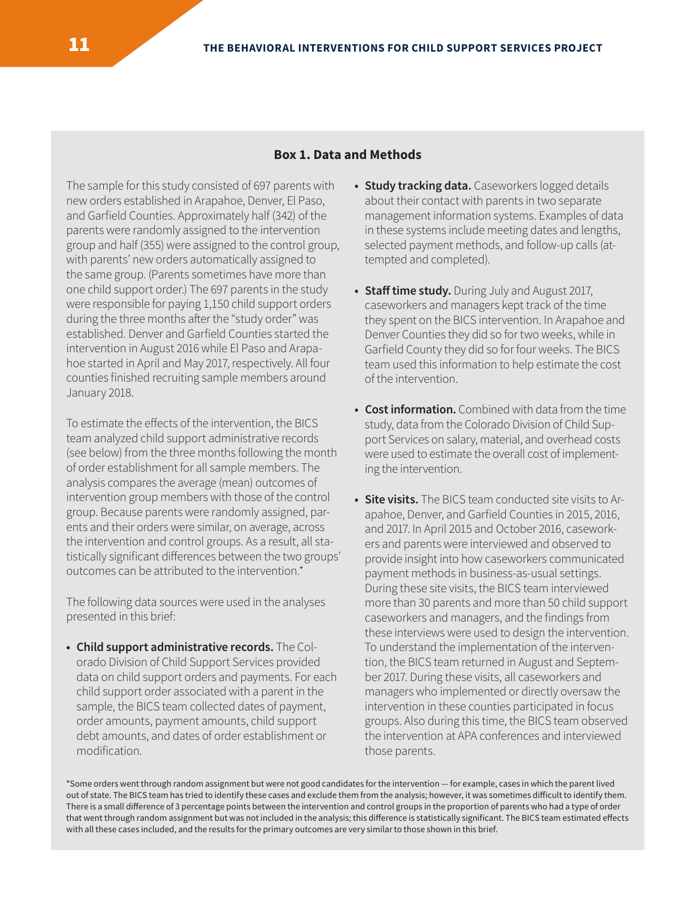#### **Box 1. Data and Methods**

The sample for this study consisted of 697 parents with new orders established in Arapahoe, Denver, El Paso, and Garfield Counties. Approximately half (342) of the parents were randomly assigned to the intervention group and half (355) were assigned to the control group, with parents' new orders automatically assigned to the same group. (Parents sometimes have more than one child support order.) The 697 parents in the study were responsible for paying 1,150 child support orders during the three months after the "study order" was established. Denver and Garfield Counties started the intervention in August 2016 while El Paso and Arapahoe started in April and May 2017, respectively. All four counties finished recruiting sample members around January 2018.

To estimate the effects of the intervention, the BICS team analyzed child support administrative records (see below) from the three months following the month of order establishment for all sample members. The analysis compares the average (mean) outcomes of intervention group members with those of the control group. Because parents were randomly assigned, parents and their orders were similar, on average, across the intervention and control groups. As a result, all statistically significant diferences between the two groups' outcomes can be attributed to the intervention.\*

The following data sources were used in the analyses presented in this brief:

**• Child support administrative records.** The Colorado Division of Child Support Services provided data on child support orders and payments. For each child support order associated with a parent in the sample, the BICS team collected dates of payment, order amounts, payment amounts, child support debt amounts, and dates of order establishment or modification.

- **Study tracking data.** Caseworkers logged details about their contact with parents in two separate management information systems. Examples of data in these systems include meeting dates and lengths, selected payment methods, and follow-up calls (attempted and completed).
- **Staff time study.** During July and August 2017, caseworkers and managers kept track of the time they spent on the BICS intervention. In Arapahoe and Denver Counties they did so for two weeks, while in Garfield County they did so for four weeks. The BICS team used this information to help estimate the cost of the intervention.
- **Cost information.** Combined with data from the time study, data from the Colorado Division of Child Support Services on salary, material, and overhead costs were used to estimate the overall cost of implementing the intervention.
- **Site visits.** The BICS team conducted site visits to Arapahoe, Denver, and Garfield Counties in 2015, 2016, and 2017. In April 2015 and October 2016, caseworkers and parents were interviewed and observed to provide insight into how caseworkers communicated payment methods in business-as-usual settings. During these site visits, the BICS team interviewed more than 30 parents and more than 50 child support caseworkers and managers, and the findings from these interviews were used to design the intervention. To understand the implementation of the intervention, the BICS team returned in August and September 2017. During these visits, all caseworkers and managers who implemented or directly oversaw the intervention in these counties participated in focus groups. Also during this time, the BICS team observed the intervention at APA conferences and interviewed those parents.

\*Some orders went through random assignment but were not good candidates for the intervention — for example, cases in which the parent lived out of state. The BICS team has tried to identify these cases and exclude them from the analysis; however, it was sometimes dificult to identify them. There is a small diference of 3 percentage points between the intervention and control groups in the proportion of parents who had a type of order that went through random assignment but was not included in the analysis; this diference is statistically significant. The BICS team estimated efects with all these cases included, and the results for the primary outcomes are very similar to those shown in this brief.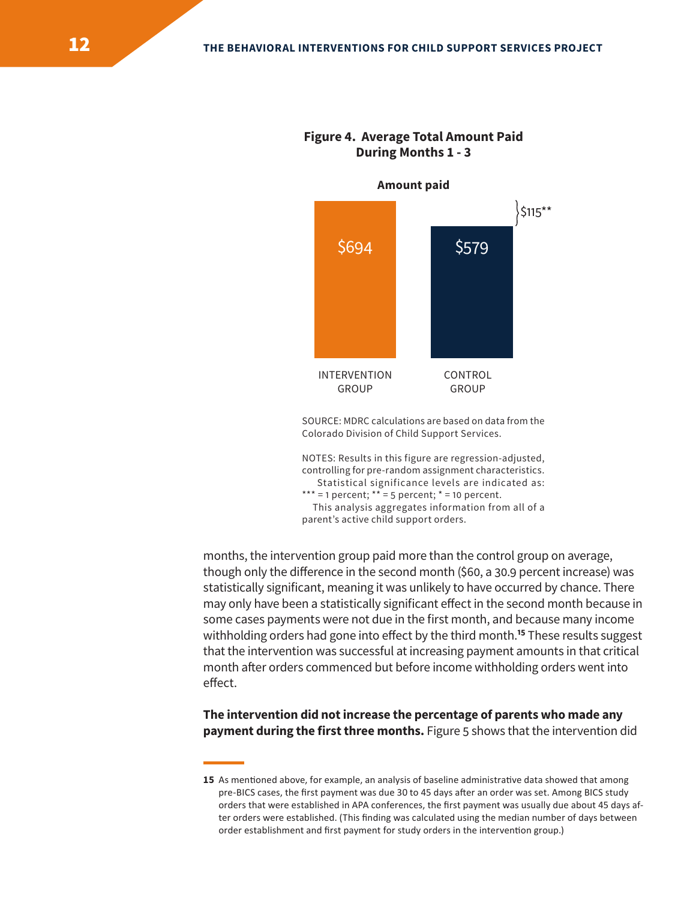

**Figure 4. Average Total Amount Paid During Months 1 - 3** 

SOURCE: MDRC calculations are based on data from the Colorado Division of Child Support Services.

NOTES: Results in this figure are regression-adjusted, controlling for pre-random assignment characteristics. Statistical significance levels are indicated as: \*\*\* = 1 percent;  $*$ \* = 5 percent;  $*$  = 10 percent. This analysis aggregates information from all of a parent's active child support orders.

months, the intervention group paid more than the control group on average, though only the diference in the second month (\$60, a 30.9 percent increase) was statistically significant, meaning it was unlikely to have occurred by chance. There may only have been a statistically significant efect in the second month because in some cases payments were not due in the first month, and because many income withholding orders had gone into effect by the third month.<sup>15</sup> These results suggest that the intervention was successful at increasing payment amounts in that critical month after orders commenced but before income withholding orders went into effect.

**The intervention did not increase the percentage of parents who made any payment during the first three months.** Figure 5 shows that the intervention did

**<sup>15</sup>** As mentioned above, for example, an analysis of baseline administrative data showed that among pre-BICS cases, the first payment was due 30 to 45 days after an order was set. Among BICS study orders that were established in APA conferences, the first payment was usually due about 45 days after orders were established. (This finding was calculated using the median number of days between order establishment and first payment for study orders in the intervention group.)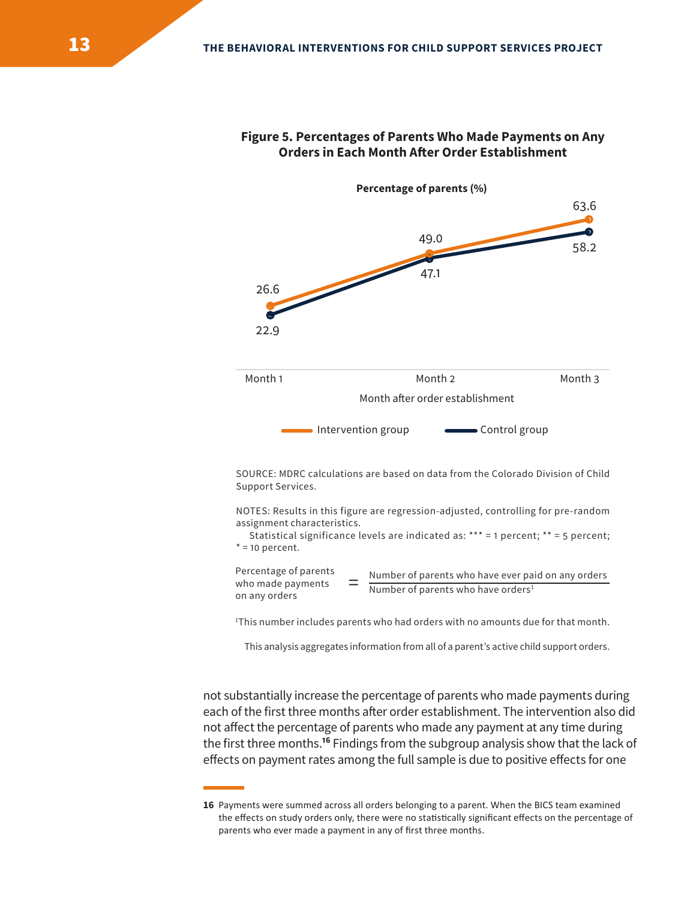

#### **Figure 5. Percentages of Parents Who Made Payments on Any Orders in Each Month Afer Order Establishment**

SOURCE: MDRC calculations are based on data from the Colorado Division of Child Support Services.

NOTES: Results in this figure are regression-adjusted, controlling for pre-random assignment characteristics.

 Statistical significance levels are indicated as: \*\*\* = 1 percent; \*\* = 5 percent;  $* = 10$  percent.

Percentage of parents  $=$  Number of parents who have ever paid on any orders who made payments  $=$  Number of parents who have orders<sup>‡</sup> on any orders

‡ This number includes parents who had orders with no amounts due for that month.

This analysis aggregates information from all of a parent's active child support orders.

not substantially increase the percentage of parents who made payments during each of the first three months after order establishment. The intervention also did not afect the percentage of parents who made any payment at any time during the first three months.**<sup>16</sup>** Findings from the subgroup analysis show that the lack of effects on payment rates among the full sample is due to positive effects for one

**<sup>16</sup>** Payments were summed across all orders belonging to a parent. When the BICS team examined the effects on study orders only, there were no statistically significant effects on the percentage of parents who ever made a payment in any of first three months.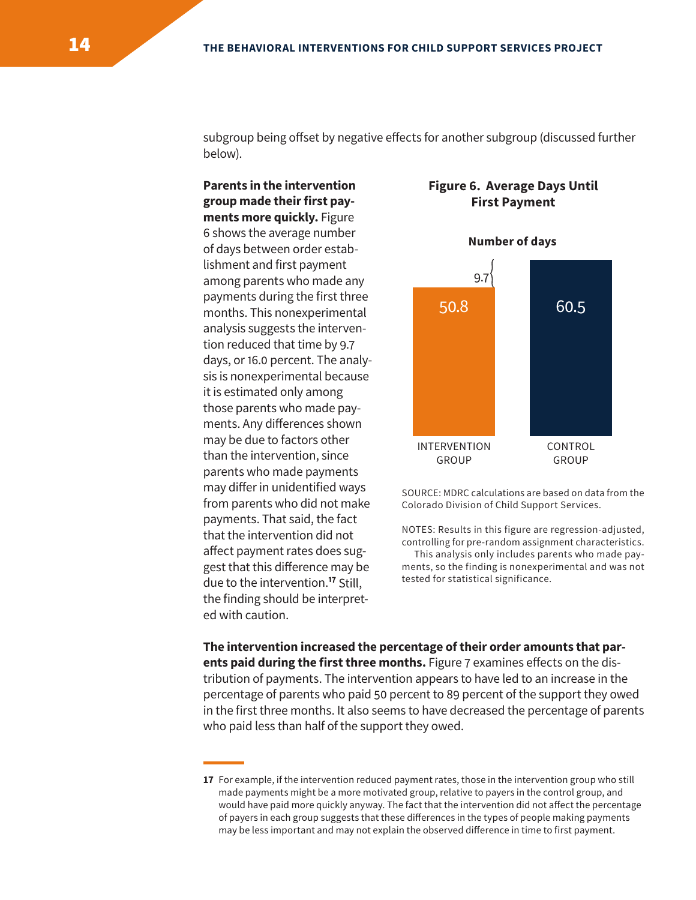subgroup being offset by negative effects for another subgroup (discussed further below).

**Parents in the intervention group made their first payments more quickly.** Figure 6 shows the average number of days between order establishment and first payment among parents who made any payments during the first three months. This nonexperimental analysis suggests the intervention reduced that time by 9.7 days, or 16.0 percent. The analysis is nonexperimental because it is estimated only among those parents who made payments. Any diferences shown may be due to factors other than the intervention, since parents who made payments payments. That said, the fact<br>
that the intervention did not<br>
affect payment rates does sug-<br>
This analysis only includes parents who made pay-<br>
This analysis only includes parents who made paygest that this diference may be due to the intervention.**<sup>17</sup>** Still, the finding should be interpreted with caution.

## **Figure 6. Average Days Until First Payment**



may differ in unidentified ways source: MDRC calculations are based on data from the<br>from parents who did not make colorado Division of Child Support Services. Colorado Division of Child Support Services.

 This analysis only includes parents who made payments, so the finding is nonexperimental and was not tested for statistical significance.

**The intervention increased the percentage of their order amounts that parents paid during the first three months.** Figure 7 examines efects on the distribution of payments. The intervention appears to have led to an increase in the percentage of parents who paid 50 percent to 89 percent of the support they owed in the first three months. It also seems to have decreased the percentage of parents who paid less than half of the support they owed.

**<sup>17</sup>** For example, if the intervention reduced payment rates, those in the intervention group who still made payments might be a more motivated group, relative to payers in the control group, and would have paid more quickly anyway. The fact that the intervention did not afect the percentage of payers in each group suggests that these diferences in the types of people making payments may be less important and may not explain the observed diference in time to first payment.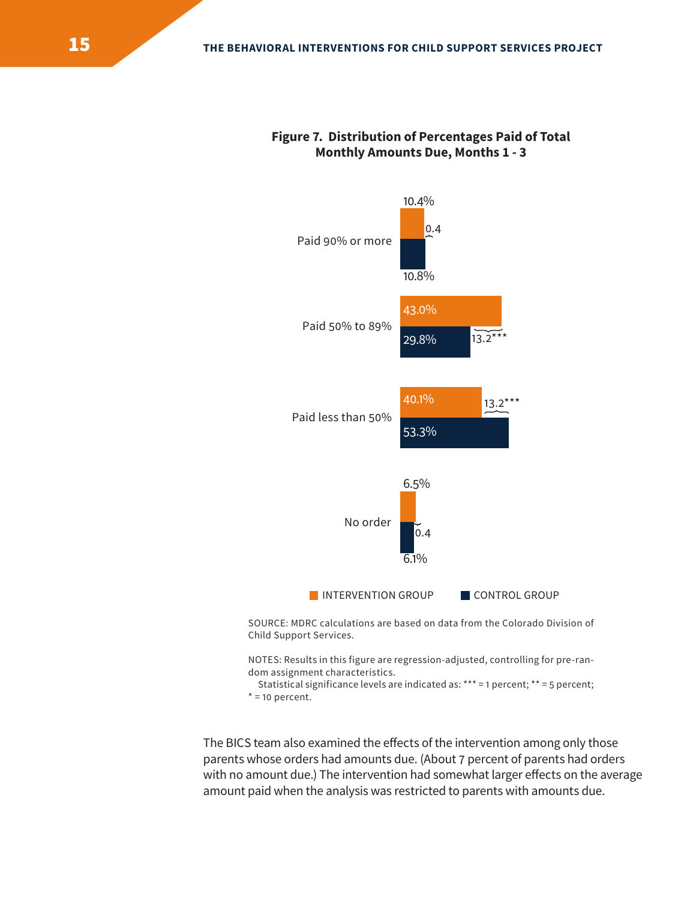#### **Figure 7. Distribution of Percentages Paid of Total Monthly Amounts Due, Months 1 - 3**



Child Support Services.

NOTES: Results in this figure are regression-adjusted, controlling for pre-random assignment characteristics.

 Statistical significance levels are indicated as: \*\*\* = 1 percent; \*\* = 5 percent;  $* = 10$  percent.

The BICS team also examined the effects of the intervention among only those parents whose orders had amounts due. (About 7 percent of parents had orders with no amount due.) The intervention had somewhat larger effects on the average amount paid when the analysis was restricted to parents with amounts due.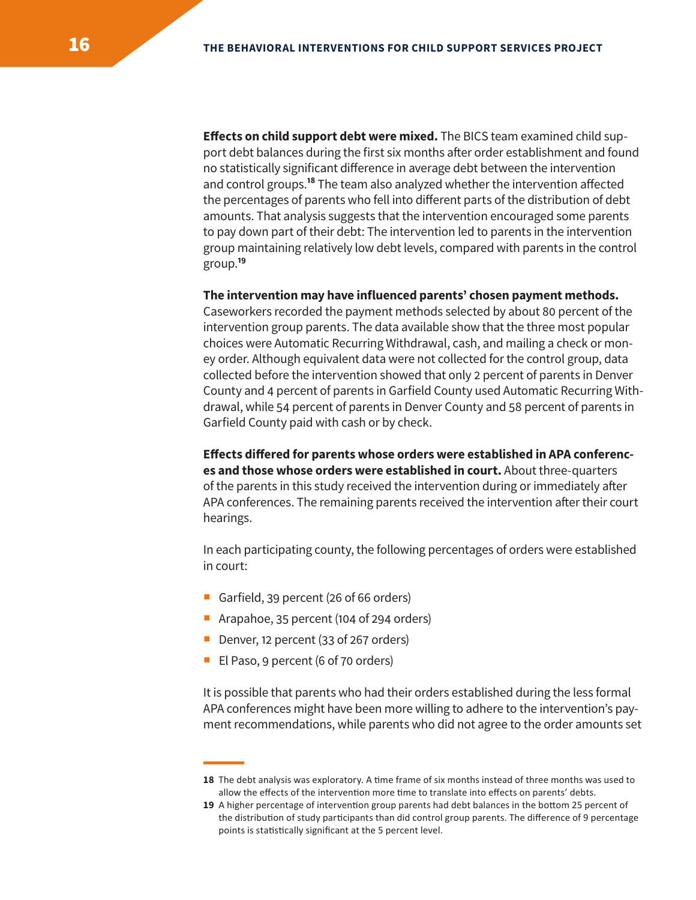**Efects on child support debt were mixed.** The BICS team examined child support debt balances during the first six months after order establishment and found no statistically significant diference in average debt between the intervention and control groups.**<sup>18</sup>** The team also analyzed whether the intervention afected the percentages of parents who fell into diferent parts of the distribution of debt amounts. That analysis suggests that the intervention encouraged some parents to pay down part of their debt: The intervention led to parents in the intervention group maintaining relatively low debt levels, compared with parents in the control group.**<sup>19</sup>**

#### **The intervention may have influenced parents' chosen payment methods.**

Caseworkers recorded the payment methods selected by about 80 percent of the intervention group parents. The data available show that the three most popular choices were Automatic Recurring Withdrawal, cash, and mailing a check or money order. Although equivalent data were not collected for the control group, data collected before the intervention showed that only 2 percent of parents in Denver County and 4 percent of parents in Garfield County used Automatic Recurring Withdrawal, while 54 percent of parents in Denver County and 58 percent of parents in Garfield County paid with cash or by check.

**Efects difered for parents whose orders were established in APA conferences and those whose orders were established in court.** About three-quarters of the parents in this study received the intervention during or immediately afer APA conferences. The remaining parents received the intervention afer their court hearings.

In each participating county, the following percentages of orders were established in court:

- Garfield, 39 percent (26 of 66 orders)
- Arapahoe, 35 percent (104 of 294 orders)
- Denver, 12 percent (33 of 267 orders)
- El Paso, 9 percent (6 of 70 orders)

It is possible that parents who had their orders established during the less formal APA conferences might have been more willing to adhere to the intervention's payment recommendations, while parents who did not agree to the order amounts set

**<sup>18</sup>** The debt analysis was exploratory. A time frame of six months instead of three months was used to allow the effects of the intervention more time to translate into effects on parents' debts.

**<sup>19</sup>** A higher percentage of intervention group parents had debt balances in the bottom 25 percent of the distribution of study participants than did control group parents. The difference of 9 percentage points is statistically significant at the 5 percent level.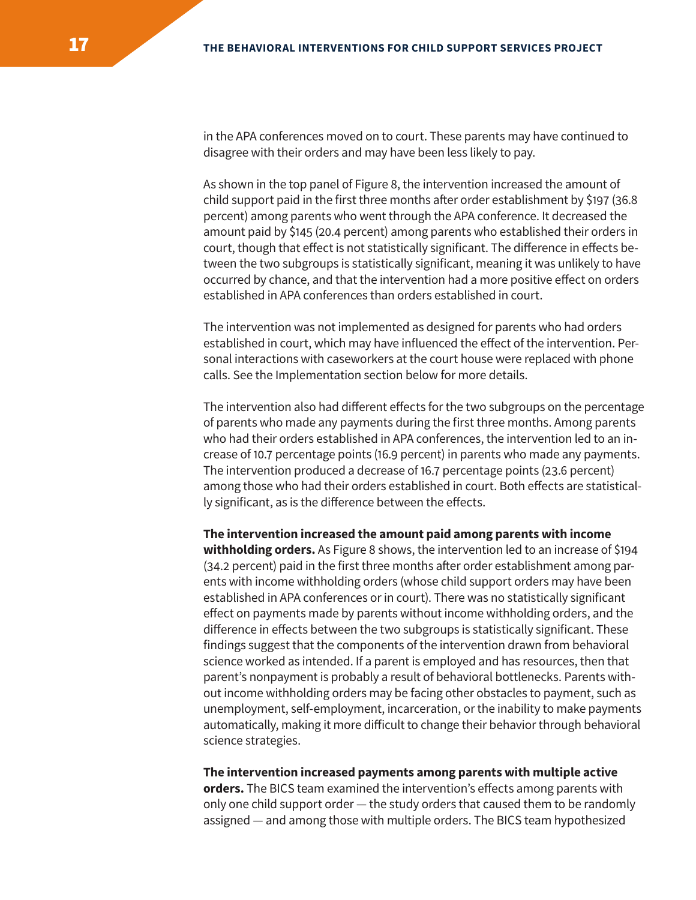in the APA conferences moved on to court. These parents may have continued to disagree with their orders and may have been less likely to pay.

As shown in the top panel of Figure 8, the intervention increased the amount of child support paid in the first three months afer order establishment by \$197 (36.8 percent) among parents who went through the APA conference. It decreased the amount paid by \$145 (20.4 percent) among parents who established their orders in court, though that efect is not statistically significant. The diference in efects between the two subgroups is statistically significant, meaning it was unlikely to have occurred by chance, and that the intervention had a more positive efect on orders established in APA conferences than orders established in court.

The intervention was not implemented as designed for parents who had orders established in court, which may have influenced the efect of the intervention. Personal interactions with caseworkers at the court house were replaced with phone calls. See the Implementation section below for more details.

The intervention also had diferent efects for the two subgroups on the percentage of parents who made any payments during the first three months. Among parents who had their orders established in APA conferences, the intervention led to an increase of 10.7 percentage points (16.9 percent) in parents who made any payments. The intervention produced a decrease of 16.7 percentage points (23.6 percent) among those who had their orders established in court. Both efects are statistically significant, as is the difference between the effects.

**The intervention increased the amount paid among parents with income withholding orders.** As Figure 8 shows, the intervention led to an increase of \$194 (34.2 percent) paid in the first three months afer order establishment among parents with income withholding orders (whose child support orders may have been established in APA conferences or in court). There was no statistically significant efect on payments made by parents without income withholding orders, and the diference in efects between the two subgroups is statistically significant. These findings suggest that the components of the intervention drawn from behavioral science worked as intended. If a parent is employed and has resources, then that parent's nonpayment is probably a result of behavioral bottlenecks. Parents without income withholding orders may be facing other obstacles to payment, such as unemployment, self-employment, incarceration, or the inability to make payments automatically, making it more dificult to change their behavior through behavioral science strategies.

**The intervention increased payments among parents with multiple active orders.** The BICS team examined the intervention's efects among parents with only one child support order — the study orders that caused them to be randomly assigned — and among those with multiple orders. The BICS team hypothesized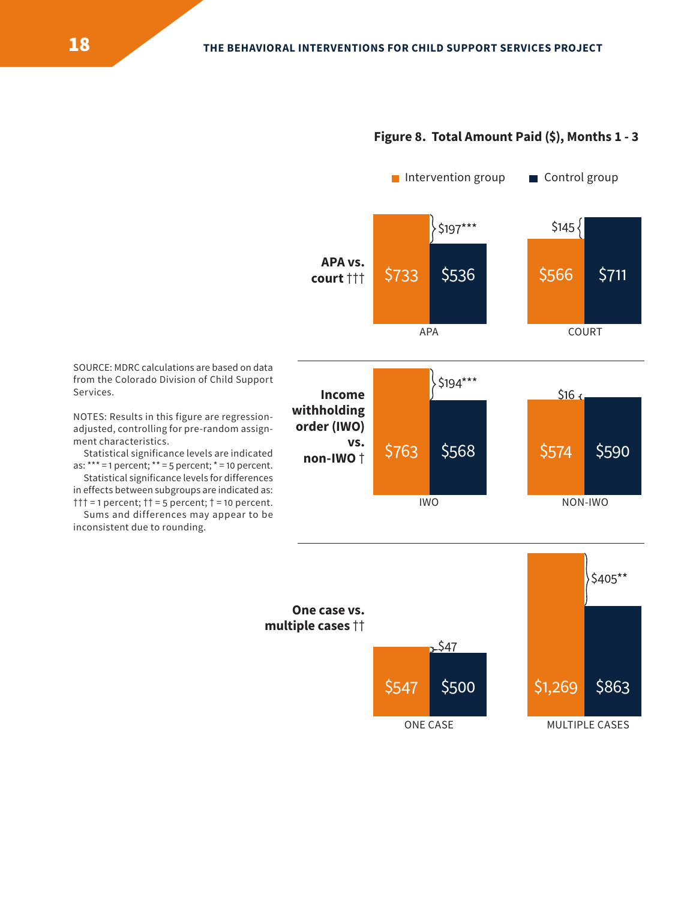#### **Figure 8. Total Amount Paid (\$), Months 1 - 3**



SOURCE: MDRC calculations are based on data from the Colorado Division of Child Support Services.

NOTES: Results in this figure are regressionadjusted, controlling for pre-random assignment characteristics.

Statistical significance levels are indicated as:  $*** = 1$  percent;  $** = 5$  percent;  $* = 10$  percent.

 ††† = 1 percent; †† = 5 percent; † = 10 percent. Statistical significance levels for differences in effects between subgroups are indicated as:

Sums and differences may appear to be inconsistent due to rounding.

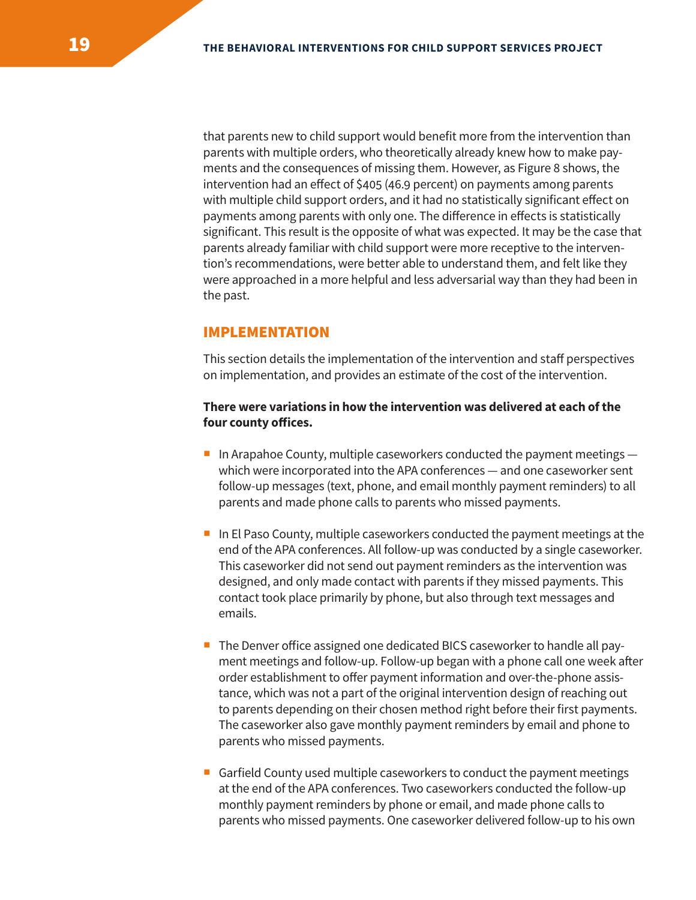that parents new to child support would benefit more from the intervention than parents with multiple orders, who theoretically already knew how to make payments and the consequences of missing them. However, as Figure 8 shows, the intervention had an efect of \$405 (46.9 percent) on payments among parents with multiple child support orders, and it had no statistically significant efect on payments among parents with only one. The diference in efects is statistically significant. This result is the opposite of what was expected. It may be the case that parents already familiar with child support were more receptive to the intervention's recommendations, were better able to understand them, and felt like they were approached in a more helpful and less adversarial way than they had been in the past.

#### IMPLEMENTATION

This section details the implementation of the intervention and staff perspectives on implementation, and provides an estimate of the cost of the intervention.

#### **There were variations in how the intervention was delivered at each of the four county ofices.**

- In Arapahoe County, multiple caseworkers conducted the payment meetings  $$ which were incorporated into the APA conferences — and one caseworker sent follow-up messages (text, phone, and email monthly payment reminders) to all parents and made phone calls to parents who missed payments.
- In El Paso County, multiple caseworkers conducted the payment meetings at the end of the APA conferences. All follow-up was conducted by a single caseworker. This caseworker did not send out payment reminders as the intervention was designed, and only made contact with parents if they missed payments. This contact took place primarily by phone, but also through text messages and emails.
- The Denver ofice assigned one dedicated BICS caseworker to handle all payment meetings and follow-up. Follow-up began with a phone call one week afer order establishment to offer payment information and over-the-phone assistance, which was not a part of the original intervention design of reaching out to parents depending on their chosen method right before their first payments. The caseworker also gave monthly payment reminders by email and phone to parents who missed payments.
- Garfield County used multiple caseworkers to conduct the payment meetings at the end of the APA conferences. Two caseworkers conducted the follow-up monthly payment reminders by phone or email, and made phone calls to parents who missed payments. One caseworker delivered follow-up to his own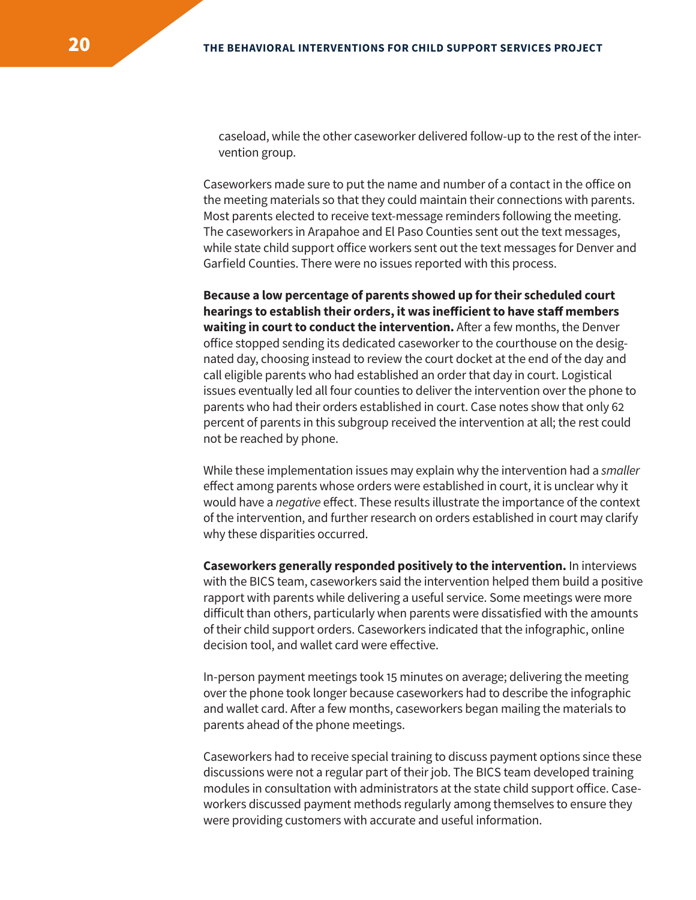caseload, while the other caseworker delivered follow-up to the rest of the intervention group.

Caseworkers made sure to put the name and number of a contact in the ofice on the meeting materials so that they could maintain their connections with parents. Most parents elected to receive text-message reminders following the meeting. The caseworkers in Arapahoe and El Paso Counties sent out the text messages, while state child support ofice workers sent out the text messages for Denver and Garfield Counties. There were no issues reported with this process.

**Because a low percentage of parents showed up for their scheduled court hearings to establish their orders, it was ineficient to have staf members waiting in court to conduct the intervention.** After a few months, the Denver ofice stopped sending its dedicated caseworker to the courthouse on the designated day, choosing instead to review the court docket at the end of the day and call eligible parents who had established an order that day in court. Logistical issues eventually led all four counties to deliver the intervention over the phone to parents who had their orders established in court. Case notes show that only 62 percent of parents in this subgroup received the intervention at all; the rest could not be reached by phone.

While these implementation issues may explain why the intervention had a *smaller*  efect among parents whose orders were established in court, it is unclear why it would have a *negative* efect. These results illustrate the importance of the context of the intervention, and further research on orders established in court may clarify why these disparities occurred.

**Caseworkers generally responded positively to the intervention.** In interviews with the BICS team, caseworkers said the intervention helped them build a positive rapport with parents while delivering a useful service. Some meetings were more dificult than others, particularly when parents were dissatisfied with the amounts of their child support orders. Caseworkers indicated that the infographic, online decision tool, and wallet card were efective.

In-person payment meetings took 15 minutes on average; delivering the meeting over the phone took longer because caseworkers had to describe the infographic and wallet card. After a few months, caseworkers began mailing the materials to parents ahead of the phone meetings.

Caseworkers had to receive special training to discuss payment options since these discussions were not a regular part of their job. The BICS team developed training modules in consultation with administrators at the state child support ofice. Caseworkers discussed payment methods regularly among themselves to ensure they were providing customers with accurate and useful information.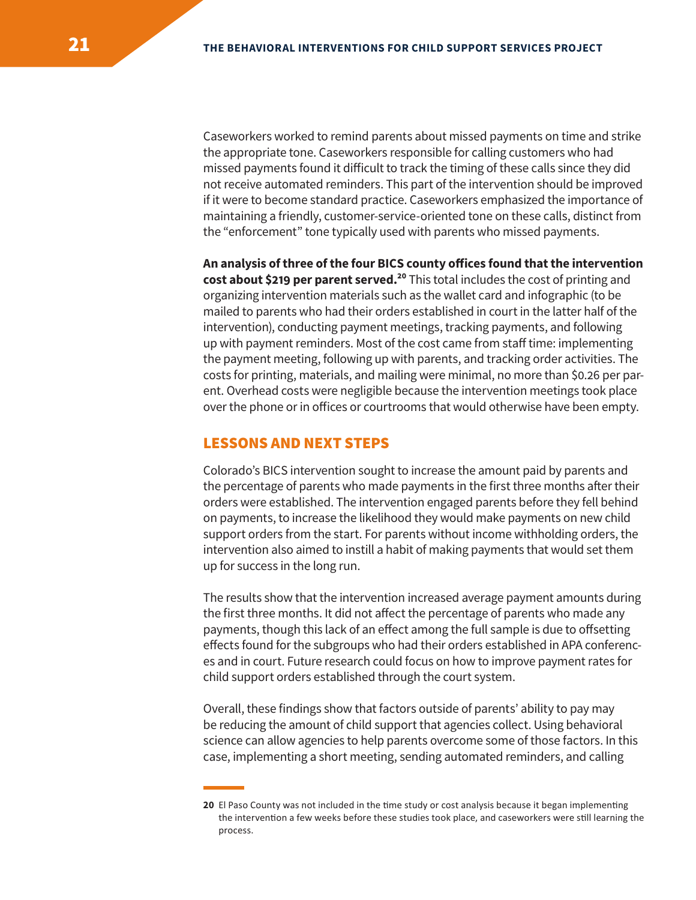Caseworkers worked to remind parents about missed payments on time and strike the appropriate tone. Caseworkers responsible for calling customers who had missed payments found it dificult to track the timing of these calls since they did not receive automated reminders. This part of the intervention should be improved if it were to become standard practice. Caseworkers emphasized the importance of maintaining a friendly, customer-service-oriented tone on these calls, distinct from the "enforcement" tone typically used with parents who missed payments.

**An analysis of three of the four BICS county ofices found that the intervention cost about \$219 per parent served.<sup>20</sup> This total includes the cost of printing and** organizing intervention materials such as the wallet card and infographic (to be mailed to parents who had their orders established in court in the latter half of the intervention), conducting payment meetings, tracking payments, and following up with payment reminders. Most of the cost came from staff time: implementing the payment meeting, following up with parents, and tracking order activities. The costs for printing, materials, and mailing were minimal, no more than \$0.26 per parent. Overhead costs were negligible because the intervention meetings took place over the phone or in ofices or courtrooms that would otherwise have been empty.

## LESSONS AND NEXT STEPS

Colorado's BICS intervention sought to increase the amount paid by parents and the percentage of parents who made payments in the first three months after their orders were established. The intervention engaged parents before they fell behind on payments, to increase the likelihood they would make payments on new child support orders from the start. For parents without income withholding orders, the intervention also aimed to instill a habit of making payments that would set them up for success in the long run.

The results show that the intervention increased average payment amounts during the first three months. It did not affect the percentage of parents who made any payments, though this lack of an efect among the full sample is due to ofsetting efects found for the subgroups who had their orders established in APA conferences and in court. Future research could focus on how to improve payment rates for child support orders established through the court system.

Overall, these findings show that factors outside of parents' ability to pay may be reducing the amount of child support that agencies collect. Using behavioral science can allow agencies to help parents overcome some of those factors. In this case, implementing a short meeting, sending automated reminders, and calling

**<sup>20</sup>** El Paso County was not included in the time study or cost analysis because it began implementing the intervention a few weeks before these studies took place, and caseworkers were still learning the process.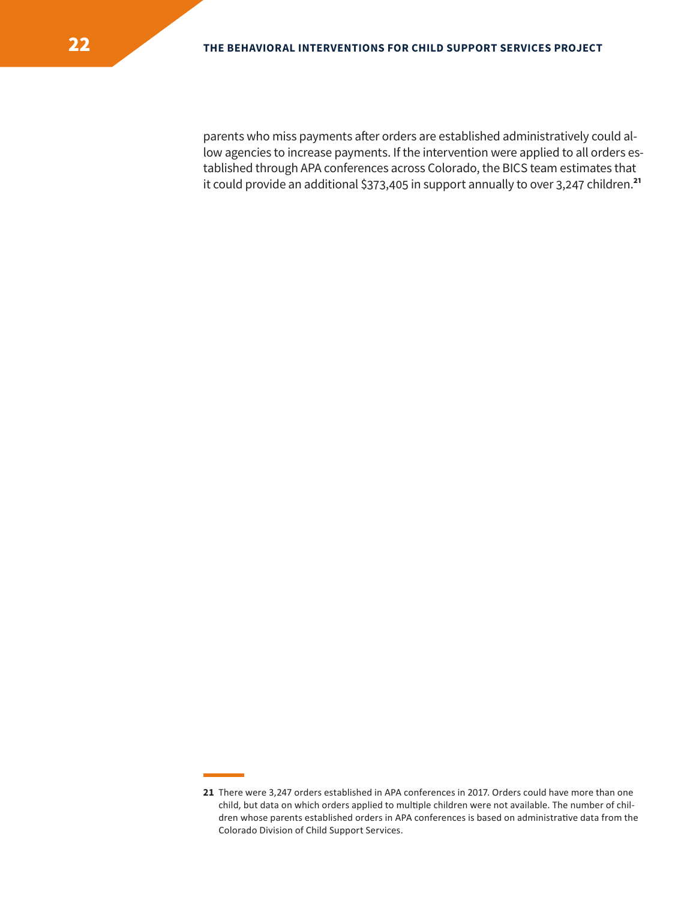parents who miss payments after orders are established administratively could allow agencies to increase payments. If the intervention were applied to all orders established through APA conferences across Colorado, the BICS team estimates that it could provide an additional \$373,405 in support annually to over 3,247 children.**<sup>21</sup>**

**<sup>21</sup>** There were 3,247 orders established in APA conferences in 2017. Orders could have more than one child, but data on which orders applied to multiple children were not available. The number of children whose parents established orders in APA conferences is based on administrative data from the Colorado Division of Child Support Services.